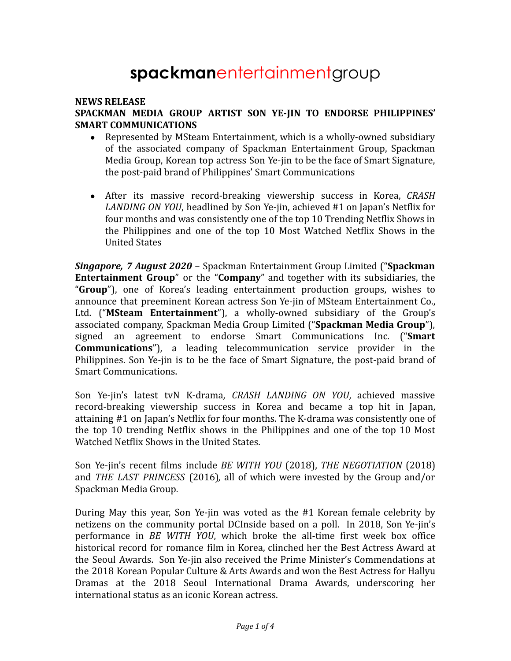# **spackman**entertainmentgroup

### **NEWS RELEASE SPACKMAN MEDIA GROUP ARTIST SON YE-JIN TO ENDORSE PHILIPPINES' SMART COMMUNICATIONS**

- Represented by MSteam Entertainment, which is a wholly-owned subsidiary of the associated company of Spackman Entertainment Group, Spackman Media Group, Korean top actress Son Ye-jin to be the face of Smart Signature, the post-paid brand of Philippines' Smart Communications
- After its massive record-breaking viewership success in Korea, *CRASH LANDING ON YOU*, headlined by Son Ye-jin, achieved #1 on Japan's Netflix for four months and was consistently one of the top 10 Trending Netflix Shows in the Philippines and one of the top 10 Most Watched Netflix Shows in the United States

*Singapore, 7 August 2020* – Spackman Entertainment Group Limited ("**Spackman Entertainment Group**" or the "**Company**" and together with its subsidiaries, the "**Group**"), one of Korea's leading entertainment production groups, wishes to announce that preeminent Korean actress Son Ye-jin of MSteam Entertainment Co., Ltd. ("**MSteam Entertainment**"), a wholly-owned subsidiary of the Group's associated company, Spackman Media Group Limited ("**Spackman Media Group**"), signed an agreement to endorse Smart Communications Inc. ("**Smart Communications**"), a leading telecommunication service provider in the Philippines. Son Ye-jin is to be the face of Smart Signature, the post-paid brand of Smart Communications.

Son Ye-jin's latest tvN K-drama, *CRASH LANDING ON YOU*, achieved massive record-breaking viewership success in Korea and became a top hit in Japan, attaining #1 on Japan's Netflix for four months. The K-drama was consistently one of the top 10 trending Netflix shows in the Philippines and one of the top 10 Most Watched Netflix Shows in the United States.

Son Ye-jin's recent films include *BE WITH YOU* (2018), *THE NEGOTIATION* (2018) and *THE LAST PRINCESS* (2016)*,* all of which were invested by the Group and/or Spackman Media Group.

During May this year, Son Ye-jin was voted as the #1 Korean female celebrity by netizens on the community portal DCInside based on a poll. In 2018, Son Ye-jin's performance in *BE WITH YOU*, which broke the all-time first week box office historical record for romance film in Korea, clinched her the Best Actress Award at the Seoul Awards. Son Ye-jin also received the Prime Minister's Commendations at the 2018 Korean Popular Culture & Arts Awards and won the Best Actress for Hallyu Dramas at the 2018 Seoul International Drama Awards, underscoring her international status as an iconic Korean actress.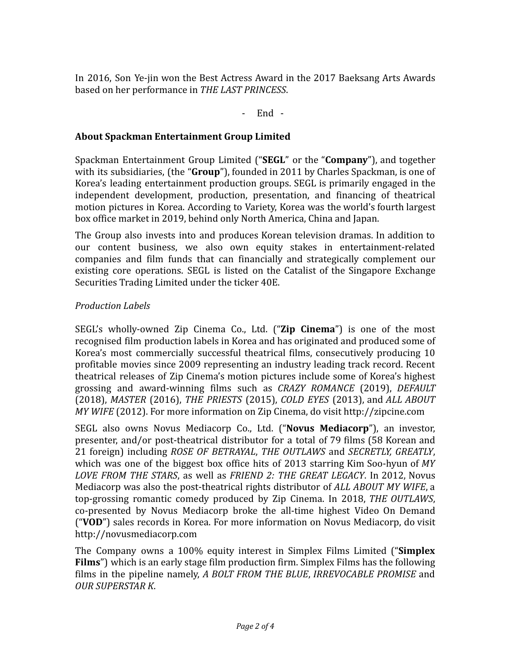In 2016, Son Ye-jin won the Best Actress Award in the 2017 Baeksang Arts Awards based on her performance in *THE LAST PRINCESS*.

- End -

## **About Spackman Entertainment Group Limited**

Spackman Entertainment Group Limited ("**SEGL**" or the "**Company**"), and together with its subsidiaries, (the "**Group**"), founded in 2011 by Charles Spackman, is one of Korea's leading entertainment production groups. SEGL is primarily engaged in the independent development, production, presentation, and financing of theatrical motion pictures in Korea. According to Variety, Korea was the world's fourth largest box office market in 2019, behind only North America, China and Japan.

The Group also invests into and produces Korean television dramas. In addition to our content business, we also own equity stakes in entertainment-related companies and film funds that can financially and strategically complement our existing core operations. SEGL is listed on the Catalist of the Singapore Exchange Securities Trading Limited under the ticker 40E.

## *Production Labels*

SEGL's wholly-owned Zip Cinema Co., Ltd. ("**Zip Cinema**") is one of the most recognised film production labels in Korea and has originated and produced some of Korea's most commercially successful theatrical films, consecutively producing 10 profitable movies since 2009 representing an industry leading track record. Recent theatrical releases of Zip Cinema's motion pictures include some of Korea's highest grossing and award-winning films such as *CRAZY ROMANCE* (2019), *DEFAULT* (2018), *MASTER* (2016), *THE PRIESTS* (2015), *COLD EYES* (2013), and *ALL ABOUT MY WIFE* (2012). For more information on Zip Cinema, do visit http://zipcine.com

SEGL also owns Novus Mediacorp Co., Ltd. ("**Novus Mediacorp**"), an investor, presenter, and/or post-theatrical distributor for a total of 79 films (58 Korean and 21 foreign) including *ROSE OF BETRAYAL*, *THE OUTLAWS* and *SECRETLY, GREATLY*, which was one of the biggest box office hits of 2013 starring Kim Soo-hyun of *MY LOVE FROM THE STARS*, as well as *FRIEND 2: THE GREAT LEGACY*. In 2012, Novus Mediacorp was also the post-theatrical rights distributor of *ALL ABOUT MY WIFE*, a top-grossing romantic comedy produced by Zip Cinema. In 2018, *THE OUTLAWS*, co-presented by Novus Mediacorp broke the all-time highest Video On Demand ("**VOD**") sales records in Korea. For more information on Novus Mediacorp, do visit http://novusmediacorp.com

The Company owns a 100% equity interest in Simplex Films Limited ("**Simplex Films**") which is an early stage film production firm. Simplex Films has the following films in the pipeline namely, *A BOLT FROM THE BLUE*, *IRREVOCABLE PROMISE* and *OUR SUPERSTAR K*.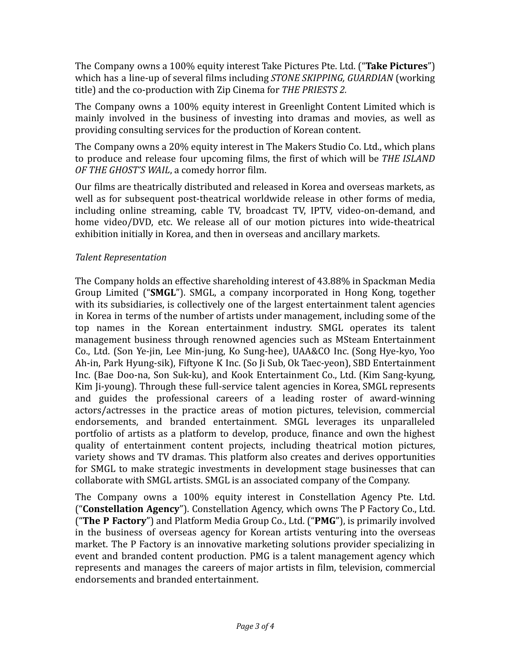The Company owns a 100% equity interest Take Pictures Pte. Ltd. ("**Take Pictures**") which has a line-up of several films including *STONE SKIPPING, GUARDIAN* (working title) and the co-production with Zip Cinema for *THE PRIESTS 2.*

The Company owns a 100% equity interest in Greenlight Content Limited which is mainly involved in the business of investing into dramas and movies, as well as providing consulting services for the production of Korean content.

The Company owns a 20% equity interest in The Makers Studio Co. Ltd., which plans to produce and release four upcoming films, the first of which will be *THE ISLAND OF THE GHOST'S WAIL*, a comedy horror film.

Our films are theatrically distributed and released in Korea and overseas markets, as well as for subsequent post-theatrical worldwide release in other forms of media, including online streaming, cable TV, broadcast TV, IPTV, video-on-demand, and home video/DVD, etc. We release all of our motion pictures into wide-theatrical exhibition initially in Korea, and then in overseas and ancillary markets.

# *Talent Representation*

The Company holds an effective shareholding interest of 43.88% in Spackman Media Group Limited ("**SMGL**"). SMGL, a company incorporated in Hong Kong, together with its subsidiaries, is collectively one of the largest entertainment talent agencies in Korea in terms of the number of artists under management, including some of the top names in the Korean entertainment industry. SMGL operates its talent management business through renowned agencies such as MSteam Entertainment Co., Ltd. (Son Ye-jin, Lee Min-jung, Ko Sung-hee), UAA&CO Inc. (Song Hye-kyo, Yoo Ah-in, Park Hyung-sik), Fiftyone K Inc. (So Ji Sub, Ok Taec-yeon), SBD Entertainment Inc. (Bae Doo-na, Son Suk-ku), and Kook Entertainment Co., Ltd. (Kim Sang-kyung, Kim Ji-young). Through these full-service talent agencies in Korea, SMGL represents and guides the professional careers of a leading roster of award-winning actors/actresses in the practice areas of motion pictures, television, commercial endorsements, and branded entertainment. SMGL leverages its unparalleled portfolio of artists as a platform to develop, produce, finance and own the highest quality of entertainment content projects, including theatrical motion pictures, variety shows and TV dramas. This platform also creates and derives opportunities for SMGL to make strategic investments in development stage businesses that can collaborate with SMGL artists. SMGL is an associated company of the Company.

The Company owns a 100% equity interest in Constellation Agency Pte. Ltd. ("**Constellation Agency**"). Constellation Agency, which owns The P Factory Co., Ltd. ("**The P Factory**") and Platform Media Group Co., Ltd. ("**PMG**"), is primarily involved in the business of overseas agency for Korean artists venturing into the overseas market. The P Factory is an innovative marketing solutions provider specializing in event and branded content production. PMG is a talent management agency which represents and manages the careers of major artists in film, television, commercial endorsements and branded entertainment.